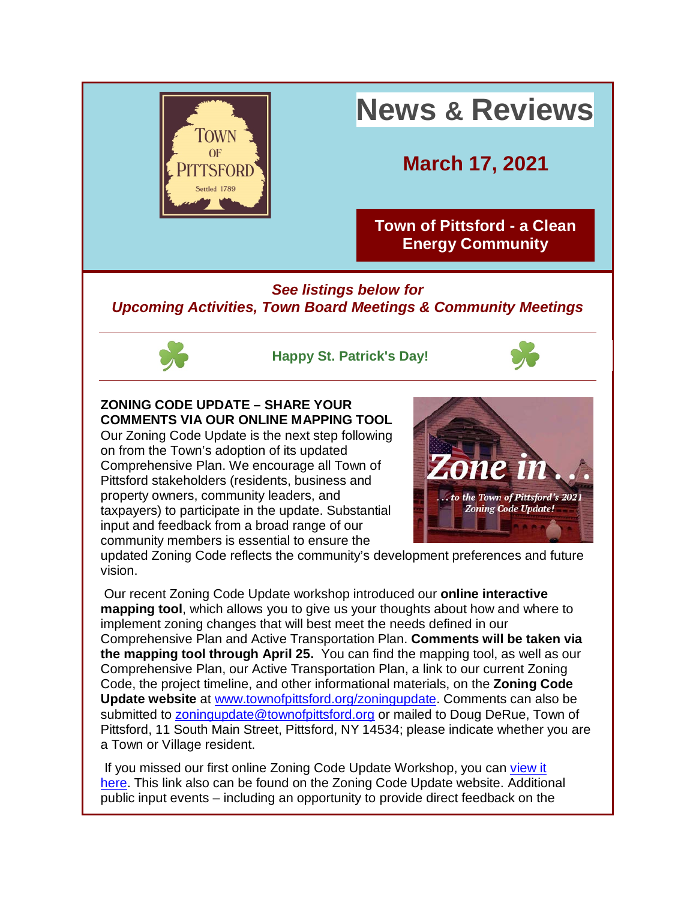

# *See listings below for Upcoming Activities, Town Board Meetings & Community Meetings*



**Happy St. Patrick's Day!**



# **ZONING CODE UPDATE – SHARE YOUR COMMENTS VIA OUR ONLINE MAPPING TOOL**

Our Zoning Code Update is the next step following on from the Town's adoption of its updated Comprehensive Plan. We encourage all Town of Pittsford stakeholders (residents, business and property owners, community leaders, and taxpayers) to participate in the update. Substantial input and feedback from a broad range of our community members is essential to ensure the



updated Zoning Code reflects the community's development preferences and future vision.

Our recent Zoning Code Update workshop introduced our **online interactive mapping tool**, which allows you to give us your thoughts about how and where to implement zoning changes that will best meet the needs defined in our Comprehensive Plan and Active Transportation Plan. **Comments will be taken via the mapping tool through April 25.** You can find the mapping tool, as well as our Comprehensive Plan, our Active Transportation Plan, a link to our current Zoning Code, the project timeline, and other informational materials, on the **Zoning Code Update website** at [www.townofpittsford.org/zoningupdate.](http://r20.rs6.net/tn.jsp?f=001R_hn1XmW8ZIKLXMPD-xtvdoWox3pSPH8KU6E3Rns0zfb4RelMqyQFff3gRifxhT5B_LHPSQ5X7FP4kYV2R1prtK5HQH7DUh0jTyO5Kv3IT9By31zvv5reSDPmJ_7uxfXbKwGEeiJ3H5r_Srn1lmkeHp2jEJ0qzlhc0gsXFa9Zd0=&c=L4wHU0Ban_AqkBWOtmBScAnoO4Y1psPCCeKro54FY18et9SlN5JTXQ==&ch=CIC58Hghf8_QHDDcWhNoJPaldM9AXmduPIRyYKYGmOUUJiFM4ldBgA==) Comments can also be submitted to [zoningupdate@townofpittsford.org](mailto:zoningupdate@townofpittsford.org) or mailed to Doug DeRue, Town of Pittsford, 11 South Main Street, Pittsford, NY 14534; please indicate whether you are a Town or Village resident.

If you missed our first online Zoning Code Update Workshop, you can view it [here.](http://r20.rs6.net/tn.jsp?f=001R_hn1XmW8ZIKLXMPD-xtvdoWox3pSPH8KU6E3Rns0zfb4RelMqyQFbGcACt_ol3yd-8p8VPL3zYjltwt0Oq5vgqLVAtjfglNMWWVRHWaYMeGNj7xWnpj1gpsFFgTSqb3bhDiBN6DFgdVVRCZbMh-Vg==&c=L4wHU0Ban_AqkBWOtmBScAnoO4Y1psPCCeKro54FY18et9SlN5JTXQ==&ch=CIC58Hghf8_QHDDcWhNoJPaldM9AXmduPIRyYKYGmOUUJiFM4ldBgA==) This link also can be found on the Zoning Code Update website. Additional public input events – including an opportunity to provide direct feedback on the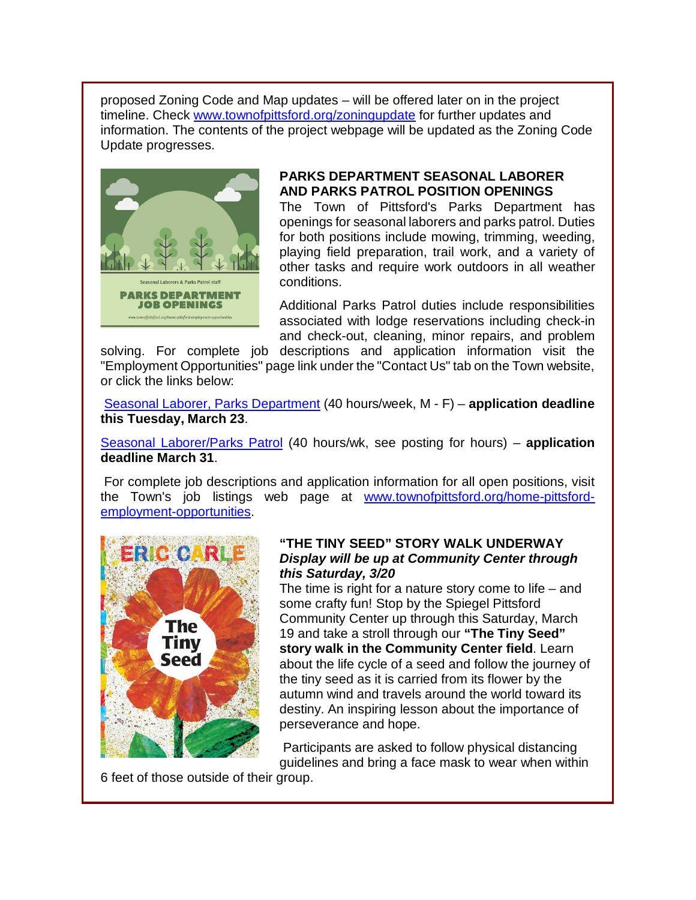proposed Zoning Code and Map updates – will be offered later on in the project timeline. Check [www.townofpittsford.org/zoningupdate](http://r20.rs6.net/tn.jsp?f=001R_hn1XmW8ZIKLXMPD-xtvdoWox3pSPH8KU6E3Rns0zfb4RelMqyQFff3gRifxhT5B_LHPSQ5X7FP4kYV2R1prtK5HQH7DUh0jTyO5Kv3IT9By31zvv5reSDPmJ_7uxfXbKwGEeiJ3H5r_Srn1lmkeHp2jEJ0qzlhc0gsXFa9Zd0=&c=L4wHU0Ban_AqkBWOtmBScAnoO4Y1psPCCeKro54FY18et9SlN5JTXQ==&ch=CIC58Hghf8_QHDDcWhNoJPaldM9AXmduPIRyYKYGmOUUJiFM4ldBgA==) for further updates and information. The contents of the project webpage will be updated as the Zoning Code Update progresses.



#### **PARKS DEPARTMENT SEASONAL LABORER AND PARKS PATROL POSITION OPENINGS**

The Town of Pittsford's Parks Department has openings for seasonal laborers and parks patrol. Duties for both positions include mowing, trimming, weeding, playing field preparation, trail work, and a variety of other tasks and require work outdoors in all weather conditions.

Additional Parks Patrol duties include responsibilities associated with lodge reservations including check-in and check-out, cleaning, minor repairs, and problem

solving. For complete job descriptions and application information visit the "Employment Opportunities" page link under the "Contact Us" tab on the Town website, or click the links below:

[Seasonal Laborer, Parks Department](http://r20.rs6.net/tn.jsp?f=001R_hn1XmW8ZIKLXMPD-xtvdoWox3pSPH8KU6E3Rns0zfb4RelMqyQFbGcACt_ol3yCEB3KwiE0D6t3WIw4t2Mde066MaQyvSOWxNAEp_i8Ej2KwRB0UJK0IB8jOA4GhFlY-bLoi2s6JXZ0rTw2jvsqesPfuzvsLkIoQpNQNh_L5VmfjJ5nu2CHhmTZ93VZgaCJt45PzLmdEHys7xK90RBTWl8LvDNSgWJGp2qvYySYs-K2fsW-dbXQQ==&c=L4wHU0Ban_AqkBWOtmBScAnoO4Y1psPCCeKro54FY18et9SlN5JTXQ==&ch=CIC58Hghf8_QHDDcWhNoJPaldM9AXmduPIRyYKYGmOUUJiFM4ldBgA==) (40 hours/week, M - F) – **application deadline this Tuesday, March 23**.

[Seasonal Laborer/Parks Patrol](http://r20.rs6.net/tn.jsp?f=001R_hn1XmW8ZIKLXMPD-xtvdoWox3pSPH8KU6E3Rns0zfb4RelMqyQFbGcACt_ol3yjq5SclJ2ojI-LyglA7M073UJu1nBDgByysPgrCBSV0mFtb75HlihLJ783q3UV-aNQgeVFbnr5_xrMFt2FIcDqD4ns9btvucZTaK5G1AhgDScHaeRYALaoLXJ9ksZbY8TSTFUAb3czZ1nWde_1uzGrUxf1UPALLHDdnbAGG5qqMh6nkHvNdHkXA==&c=L4wHU0Ban_AqkBWOtmBScAnoO4Y1psPCCeKro54FY18et9SlN5JTXQ==&ch=CIC58Hghf8_QHDDcWhNoJPaldM9AXmduPIRyYKYGmOUUJiFM4ldBgA==) (40 hours/wk, see posting for hours) – **application deadline March 31**.

For complete job descriptions and application information for all open positions, visit the Town's job listings web page at [www.townofpittsford.org/home-pittsford](http://r20.rs6.net/tn.jsp?f=001R_hn1XmW8ZIKLXMPD-xtvdoWox3pSPH8KU6E3Rns0zfb4RelMqyQFVAuAU-CmJ3IoqmqPpsZuCtGz0npOGcF8ktBTqPDXcWA6rBsrRomQmWDQiLofXs4GFSThrwtpZ7_u5EQrGJuek0FUGfPrTAr1WMbBpmsq7EByYt2s1yzqrGm_7aWhq9QEmxMfV-HYq4q7N-RXpDxM1a_Vqhvk3PsiA==&c=L4wHU0Ban_AqkBWOtmBScAnoO4Y1psPCCeKro54FY18et9SlN5JTXQ==&ch=CIC58Hghf8_QHDDcWhNoJPaldM9AXmduPIRyYKYGmOUUJiFM4ldBgA==)[employment-opportunities.](http://r20.rs6.net/tn.jsp?f=001R_hn1XmW8ZIKLXMPD-xtvdoWox3pSPH8KU6E3Rns0zfb4RelMqyQFVAuAU-CmJ3IoqmqPpsZuCtGz0npOGcF8ktBTqPDXcWA6rBsrRomQmWDQiLofXs4GFSThrwtpZ7_u5EQrGJuek0FUGfPrTAr1WMbBpmsq7EByYt2s1yzqrGm_7aWhq9QEmxMfV-HYq4q7N-RXpDxM1a_Vqhvk3PsiA==&c=L4wHU0Ban_AqkBWOtmBScAnoO4Y1psPCCeKro54FY18et9SlN5JTXQ==&ch=CIC58Hghf8_QHDDcWhNoJPaldM9AXmduPIRyYKYGmOUUJiFM4ldBgA==)



#### **"THE TINY SEED" STORY WALK UNDERWAY** *Display will be up at Community Center through this Saturday, 3/20*

The time is right for a nature story come to life  $-$  and some crafty fun! Stop by the Spiegel Pittsford Community Center up through this Saturday, March 19 and take a stroll through our **"The Tiny Seed" story walk in the Community Center field**. Learn about the life cycle of a seed and follow the journey of the tiny seed as it is carried from its flower by the autumn wind and travels around the world toward its destiny. An inspiring lesson about the importance of perseverance and hope.

Participants are asked to follow physical distancing guidelines and bring a face mask to wear when within

6 feet of those outside of their group.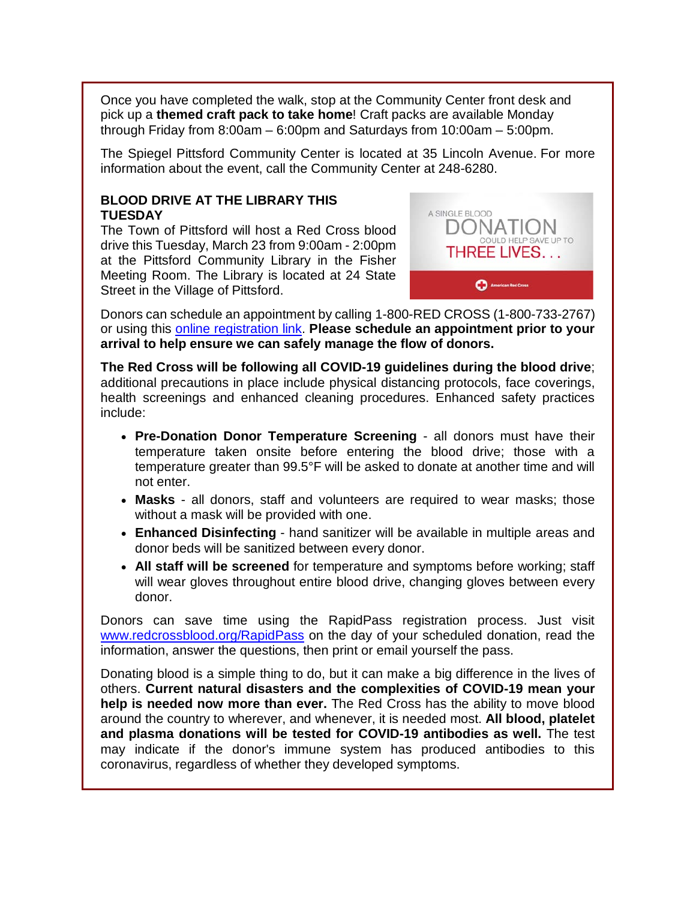Once you have completed the walk, stop at the Community Center front desk and pick up a **themed craft pack to take home**! Craft packs are available Monday through Friday from 8:00am – 6:00pm and Saturdays from 10:00am – 5:00pm.

The Spiegel Pittsford Community Center is located at 35 Lincoln Avenue. For more information about the event, call the Community Center at 248-6280.

#### **BLOOD DRIVE AT THE LIBRARY THIS TUESDAY**

The Town of Pittsford will host a Red Cross blood drive this Tuesday, March 23 from 9:00am - 2:00pm at the Pittsford Community Library in the Fisher Meeting Room. The Library is located at 24 State Street in the Village of Pittsford.



Donors can schedule an appointment by calling 1-800-RED CROSS (1-800-733-2767) or using this [online registration link.](http://r20.rs6.net/tn.jsp?f=001R_hn1XmW8ZIKLXMPD-xtvdoWox3pSPH8KU6E3Rns0zfb4RelMqyQFaIpNNshuwSFu1_SWRZjBPBJ2fTBXVWfiXGJD7jxvsP1JisZARF9RtfDr85yHC6NUZl1xGl4jkqEZt5TnqQaWp32w2mZ8p1wpyp6NlCdUTdPK-s73q5z86mgAamuRXav2dTwAhLmacNm9grRtsmSL9pibI7yOA2alYSKXmtC5YOijYE6zTdmJaE=&c=L4wHU0Ban_AqkBWOtmBScAnoO4Y1psPCCeKro54FY18et9SlN5JTXQ==&ch=CIC58Hghf8_QHDDcWhNoJPaldM9AXmduPIRyYKYGmOUUJiFM4ldBgA==) **Please schedule an appointment prior to your arrival to help ensure we can safely manage the flow of donors.**

**The Red Cross will be following all COVID-19 guidelines during the blood drive**; additional precautions in place include physical distancing protocols, face coverings, health screenings and enhanced cleaning procedures. Enhanced safety practices include:

- **Pre-Donation Donor Temperature Screening** all donors must have their temperature taken onsite before entering the blood drive; those with a temperature greater than 99.5°F will be asked to donate at another time and will not enter.
- **Masks** all donors, staff and volunteers are required to wear masks; those without a mask will be provided with one.
- **Enhanced Disinfecting** hand sanitizer will be available in multiple areas and donor beds will be sanitized between every donor.
- **All staff will be screened** for temperature and symptoms before working; staff will wear gloves throughout entire blood drive, changing gloves between every donor.

Donors can save time using the RapidPass registration process. Just visit [www.redcrossblood.org/RapidPass](http://r20.rs6.net/tn.jsp?f=001R_hn1XmW8ZIKLXMPD-xtvdoWox3pSPH8KU6E3Rns0zfb4RelMqyQFaRa0Y0FOewMMfJXTEyyPdaZZLwJhp01RvcjF9Y4WjDPZgff5wnZ0CU0SVSvBRh4yeX5adlHmmk0Htw_I3uIM_sRelN1We0Tp-7LJWt3bQEMVt4epH8d2l0=&c=L4wHU0Ban_AqkBWOtmBScAnoO4Y1psPCCeKro54FY18et9SlN5JTXQ==&ch=CIC58Hghf8_QHDDcWhNoJPaldM9AXmduPIRyYKYGmOUUJiFM4ldBgA==) on the day of your scheduled donation, read the information, answer the questions, then print or email yourself the pass.

Donating blood is a simple thing to do, but it can make a big difference in the lives of others. **Current natural disasters and the complexities of COVID-19 mean your help is needed now more than ever.** The Red Cross has the ability to move blood around the country to wherever, and whenever, it is needed most. **All blood, platelet and plasma donations will be tested for COVID-19 antibodies as well.** The test may indicate if the donor's immune system has produced antibodies to this coronavirus, regardless of whether they developed symptoms.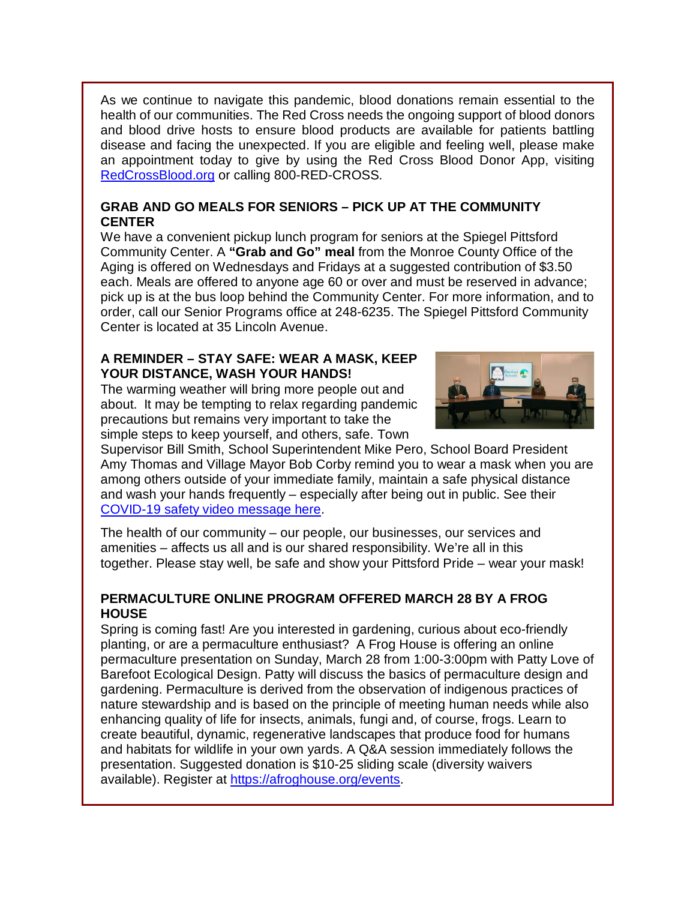As we continue to navigate this pandemic, blood donations remain essential to the health of our communities. The Red Cross needs the ongoing support of blood donors and blood drive hosts to ensure blood products are available for patients battling disease and facing the unexpected. If you are eligible and feeling well, please make an appointment today to give by using the Red Cross Blood Donor App, visiting [RedCrossBlood.org](http://r20.rs6.net/tn.jsp?f=001R_hn1XmW8ZIKLXMPD-xtvdoWox3pSPH8KU6E3Rns0zfb4RelMqyQFWo2HPJFoSfQSej3BqyvtbwCTig7QJoUdUOiMrpPy5eZq1O-Khjndtg-bu-jHMVd5F-5cQdMp3_GmO0bhmlFGueGkC-uzCBb8Q==&c=L4wHU0Ban_AqkBWOtmBScAnoO4Y1psPCCeKro54FY18et9SlN5JTXQ==&ch=CIC58Hghf8_QHDDcWhNoJPaldM9AXmduPIRyYKYGmOUUJiFM4ldBgA==) or calling 800-RED-CROSS.

#### **GRAB AND GO MEALS FOR SENIORS – PICK UP AT THE COMMUNITY CENTER**

We have a convenient pickup lunch program for seniors at the Spiegel Pittsford Community Center. A **"Grab and Go" meal** from the Monroe County Office of the Aging is offered on Wednesdays and Fridays at a suggested contribution of \$3.50 each. Meals are offered to anyone age 60 or over and must be reserved in advance; pick up is at the bus loop behind the Community Center. For more information, and to order, call our Senior Programs office at 248-6235. The Spiegel Pittsford Community Center is located at 35 Lincoln Avenue.

#### **A REMINDER – STAY SAFE: WEAR A MASK, KEEP YOUR DISTANCE, WASH YOUR HANDS!**

The warming weather will bring more people out and about. It may be tempting to relax regarding pandemic precautions but remains very important to take the simple steps to keep yourself, and others, safe. Town



Supervisor Bill Smith, School Superintendent Mike Pero, School Board President Amy Thomas and Village Mayor Bob Corby remind you to wear a mask when you are among others outside of your immediate family, maintain a safe physical distance and wash your hands frequently – especially after being out in public. See their [COVID-19 safety video message here.](http://r20.rs6.net/tn.jsp?f=001R_hn1XmW8ZIKLXMPD-xtvdoWox3pSPH8KU6E3Rns0zfb4RelMqyQFVzRmO43BD_DOjJXefsYtMp9ARu13-UV1C2VPr69lhS4RmQ1C-y1yLe-yDCCRnV1jwga4pzbXp8BlF2ce13ZxZn_Vsm6uploCQ==&c=L4wHU0Ban_AqkBWOtmBScAnoO4Y1psPCCeKro54FY18et9SlN5JTXQ==&ch=CIC58Hghf8_QHDDcWhNoJPaldM9AXmduPIRyYKYGmOUUJiFM4ldBgA==)

The health of our community – our people, our businesses, our services and amenities – affects us all and is our shared responsibility. We're all in this together. Please stay well, be safe and show your Pittsford Pride – wear your mask!

### **PERMACULTURE ONLINE PROGRAM OFFERED MARCH 28 BY A FROG HOUSE**

Spring is coming fast! Are you interested in gardening, curious about eco-friendly planting, or are a permaculture enthusiast? A Frog House is offering an online permaculture presentation on Sunday, March 28 from 1:00-3:00pm with Patty Love of Barefoot Ecological Design. Patty will discuss the basics of permaculture design and gardening. Permaculture is derived from the observation of indigenous practices of nature stewardship and is based on the principle of meeting human needs while also enhancing quality of life for insects, animals, fungi and, of course, frogs. Learn to create beautiful, dynamic, regenerative landscapes that produce food for humans and habitats for wildlife in your own yards. A Q&A session immediately follows the presentation. Suggested donation is \$10-25 sliding scale (diversity waivers available). Register at [https://afroghouse.org/events.](http://r20.rs6.net/tn.jsp?f=001R_hn1XmW8ZIKLXMPD-xtvdoWox3pSPH8KU6E3Rns0zfb4RelMqyQFbGcACt_ol3yTLVtt-CMtHyvEREhxNLa8JNeqTo66MIYTpBdMaSrRuTrvJ3kVgF2VfqBBzC2TU37CRYMY81mgl4ET13TNdMxIQ==&c=L4wHU0Ban_AqkBWOtmBScAnoO4Y1psPCCeKro54FY18et9SlN5JTXQ==&ch=CIC58Hghf8_QHDDcWhNoJPaldM9AXmduPIRyYKYGmOUUJiFM4ldBgA==)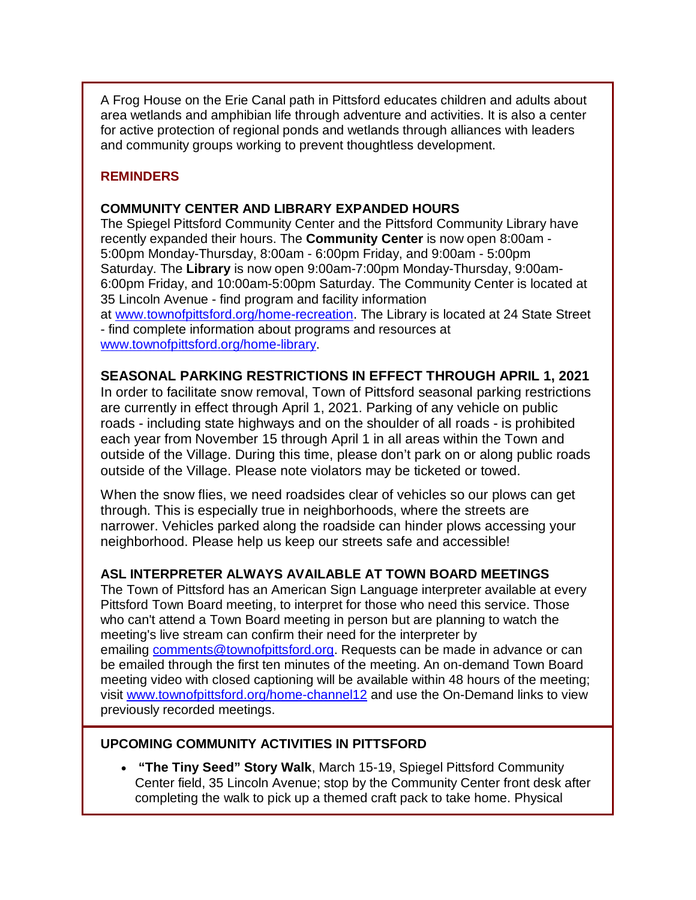A Frog House on the Erie Canal path in Pittsford educates children and adults about area wetlands and amphibian life through adventure and activities. It is also a center for active protection of regional ponds and wetlands through alliances with leaders and community groups working to prevent thoughtless development.

### **REMINDERS**

#### **COMMUNITY CENTER AND LIBRARY EXPANDED HOURS**

The Spiegel Pittsford Community Center and the Pittsford Community Library have recently expanded their hours. The **Community Center** is now open 8:00am - 5:00pm Monday-Thursday, 8:00am - 6:00pm Friday, and 9:00am - 5:00pm Saturday. The **Library** is now open 9:00am-7:00pm Monday-Thursday, 9:00am-6:00pm Friday, and 10:00am-5:00pm Saturday. The Community Center is located at 35 Lincoln Avenue - find program and facility information

at [www.townofpittsford.org/home-recreation.](http://r20.rs6.net/tn.jsp?f=001R_hn1XmW8ZIKLXMPD-xtvdoWox3pSPH8KU6E3Rns0zfb4RelMqyQFVFLeeVfy3pkYVgxNkgVZaT2RJwhoTbnzs90DwpimW7VdYzFPkvlIujCHaYvYl98lQPb5ZUSRLerwSukQKWpI1Gs7vHbRDtxwdyvUUnEXAd2Ut0GBUIpG9OWwBrCfNJwjQ==&c=L4wHU0Ban_AqkBWOtmBScAnoO4Y1psPCCeKro54FY18et9SlN5JTXQ==&ch=CIC58Hghf8_QHDDcWhNoJPaldM9AXmduPIRyYKYGmOUUJiFM4ldBgA==) The Library is located at 24 State Street - find complete information about programs and resources at [www.townofpittsford.org/home-library.](http://r20.rs6.net/tn.jsp?f=001R_hn1XmW8ZIKLXMPD-xtvdoWox3pSPH8KU6E3Rns0zfb4RelMqyQFZs_CBgwnxWjm8j4hKHPr-hpXPPgnKKJJZdrr23wmX3uFMZOWOHzqcL4Cus8iSIzvO7xz0AWsVFAl9FJTcGv2O_CIyUw0N0CmUHr_4G2Za89aIQDxFYzWU4=&c=L4wHU0Ban_AqkBWOtmBScAnoO4Y1psPCCeKro54FY18et9SlN5JTXQ==&ch=CIC58Hghf8_QHDDcWhNoJPaldM9AXmduPIRyYKYGmOUUJiFM4ldBgA==)

#### **SEASONAL PARKING RESTRICTIONS IN EFFECT THROUGH APRIL 1, 2021**

In order to facilitate snow removal, Town of Pittsford seasonal parking restrictions are currently in effect through April 1, 2021. Parking of any vehicle on public roads - including state highways and on the shoulder of all roads - is prohibited each year from November 15 through April 1 in all areas within the Town and outside of the Village. During this time, please don't park on or along public roads outside of the Village. Please note violators may be ticketed or towed.

When the snow flies, we need roadsides clear of vehicles so our plows can get through. This is especially true in neighborhoods, where the streets are narrower. Vehicles parked along the roadside can hinder plows accessing your neighborhood. Please help us keep our streets safe and accessible!

#### **ASL INTERPRETER ALWAYS AVAILABLE AT TOWN BOARD MEETINGS**

The Town of Pittsford has an American Sign Language interpreter available at every Pittsford Town Board meeting, to interpret for those who need this service. Those who can't attend a Town Board meeting in person but are planning to watch the meeting's live stream can confirm their need for the interpreter by emailing [comments@townofpittsford.org.](mailto:comments@townofpittsford.org?subject=ASL%20interperter%20request%20for%20Town%20Board%20meeting) Requests can be made in advance or can be emailed through the first ten minutes of the meeting. An on-demand Town Board meeting video with closed captioning will be available within 48 hours of the meeting; visit [www.townofpittsford.org/home-channel12](http://r20.rs6.net/tn.jsp?f=001R_hn1XmW8ZIKLXMPD-xtvdoWox3pSPH8KU6E3Rns0zfb4RelMqyQFQTzOEqYXrSC5w3ZDj8avt7rJFDQGdWIsifiSHw_XVVrr64Zy_k4-UH_sjOVtiUeXZXZA41Adm2MPEP91HZZFIcgFvItAPXeJkJHzf7KVjp_2Hc-P2I2C1E=&c=L4wHU0Ban_AqkBWOtmBScAnoO4Y1psPCCeKro54FY18et9SlN5JTXQ==&ch=CIC58Hghf8_QHDDcWhNoJPaldM9AXmduPIRyYKYGmOUUJiFM4ldBgA==) and use the On-Demand links to view previously recorded meetings.

#### **UPCOMING COMMUNITY ACTIVITIES IN PITTSFORD**

• **"The Tiny Seed" Story Walk**, March 15-19, Spiegel Pittsford Community Center field, 35 Lincoln Avenue; stop by the Community Center front desk after completing the walk to pick up a themed craft pack to take home. Physical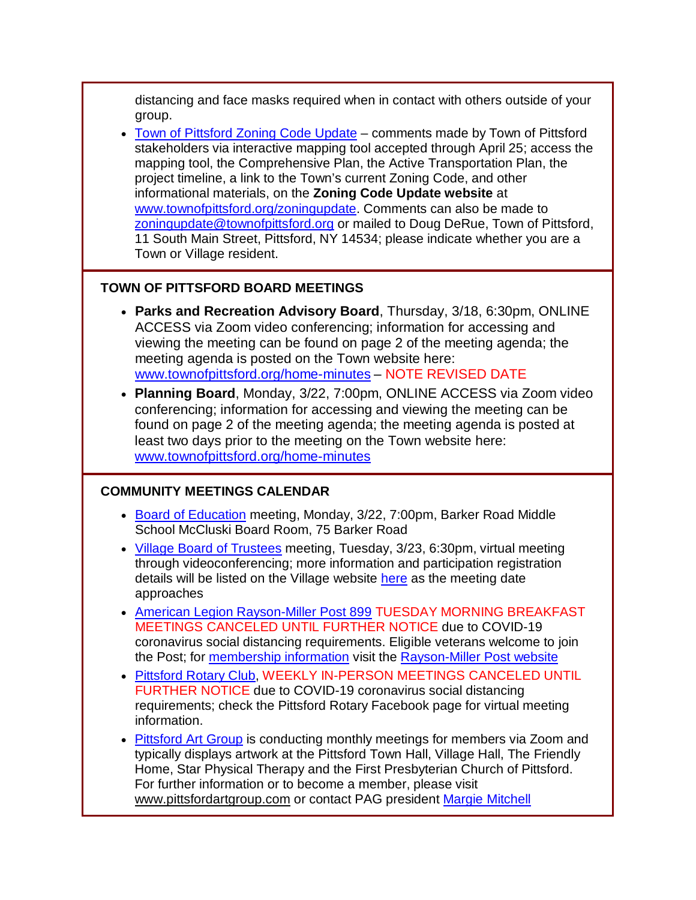distancing and face masks required when in contact with others outside of your group.

• [Town of Pittsford Zoning Code Update](http://r20.rs6.net/tn.jsp?f=001R_hn1XmW8ZIKLXMPD-xtvdoWox3pSPH8KU6E3Rns0zfb4RelMqyQFff3gRifxhT5B_LHPSQ5X7FP4kYV2R1prtK5HQH7DUh0jTyO5Kv3IT9By31zvv5reSDPmJ_7uxfXbKwGEeiJ3H5r_Srn1lmkeHp2jEJ0qzlhc0gsXFa9Zd0=&c=L4wHU0Ban_AqkBWOtmBScAnoO4Y1psPCCeKro54FY18et9SlN5JTXQ==&ch=CIC58Hghf8_QHDDcWhNoJPaldM9AXmduPIRyYKYGmOUUJiFM4ldBgA==) – comments made by Town of Pittsford stakeholders via interactive mapping tool accepted through April 25; access the mapping tool, the Comprehensive Plan, the Active Transportation Plan, the project timeline, a link to the Town's current Zoning Code, and other informational materials, on the **Zoning Code Update website** at [www.townofpittsford.org/zoningupdate.](http://r20.rs6.net/tn.jsp?f=001R_hn1XmW8ZIKLXMPD-xtvdoWox3pSPH8KU6E3Rns0zfb4RelMqyQFff3gRifxhT5B_LHPSQ5X7FP4kYV2R1prtK5HQH7DUh0jTyO5Kv3IT9By31zvv5reSDPmJ_7uxfXbKwGEeiJ3H5r_Srn1lmkeHp2jEJ0qzlhc0gsXFa9Zd0=&c=L4wHU0Ban_AqkBWOtmBScAnoO4Y1psPCCeKro54FY18et9SlN5JTXQ==&ch=CIC58Hghf8_QHDDcWhNoJPaldM9AXmduPIRyYKYGmOUUJiFM4ldBgA==) Comments can also be made to [zoningupdate@townofpittsford.org](mailto:zoningupdate@townofpittsford.org) or mailed to Doug DeRue, Town of Pittsford, 11 South Main Street, Pittsford, NY 14534; please indicate whether you are a Town or Village resident.

#### **TOWN OF PITTSFORD BOARD MEETINGS**

- **Parks and Recreation Advisory Board**, Thursday, 3/18, 6:30pm, ONLINE ACCESS via Zoom video conferencing; information for accessing and viewing the meeting can be found on page 2 of the meeting agenda; the meeting agenda is posted on the Town website here: [www.townofpittsford.org/home-minutes](http://r20.rs6.net/tn.jsp?f=001R_hn1XmW8ZIKLXMPD-xtvdoWox3pSPH8KU6E3Rns0zfb4RelMqyQFc9zwBDmaF45uXdKe8Z1DYCeZKPDv7QpCRk_b42h1NIZlKL_cpwLMx5kYht1B5eTR2xRW--3u6t5IFyXUK5hI-92v-492xCJOz7Sf8kG2bazkg3Y6S83ces=&c=L4wHU0Ban_AqkBWOtmBScAnoO4Y1psPCCeKro54FY18et9SlN5JTXQ==&ch=CIC58Hghf8_QHDDcWhNoJPaldM9AXmduPIRyYKYGmOUUJiFM4ldBgA==) – NOTE REVISED DATE
- **Planning Board**, Monday, 3/22, 7:00pm, ONLINE ACCESS via Zoom video conferencing; information for accessing and viewing the meeting can be found on page 2 of the meeting agenda; the meeting agenda is posted at least two days prior to the meeting on the Town website here: [www.townofpittsford.org/home-minutes](http://r20.rs6.net/tn.jsp?f=001R_hn1XmW8ZIKLXMPD-xtvdoWox3pSPH8KU6E3Rns0zfb4RelMqyQFc9zwBDmaF45uXdKe8Z1DYCeZKPDv7QpCRk_b42h1NIZlKL_cpwLMx5kYht1B5eTR2xRW--3u6t5IFyXUK5hI-92v-492xCJOz7Sf8kG2bazkg3Y6S83ces=&c=L4wHU0Ban_AqkBWOtmBScAnoO4Y1psPCCeKro54FY18et9SlN5JTXQ==&ch=CIC58Hghf8_QHDDcWhNoJPaldM9AXmduPIRyYKYGmOUUJiFM4ldBgA==)

# **COMMUNITY MEETINGS CALENDAR**

- [Board of Education](http://r20.rs6.net/tn.jsp?f=001R_hn1XmW8ZIKLXMPD-xtvdoWox3pSPH8KU6E3Rns0zfb4RelMqyQFbGcACt_ol3y51s8S893ktxahgo6sgA7kGxo10145zfVoZNVno_1kCWToE2quf3vTEmD3dePWL8t5_DKpjhpzKTsNBifsJlLWGjoZQqe9NCcIe0zBXOoFGLbF5i5osC5OKWf8Zm8s-Gro8erov8atKJkftwnzk2uQAZHvqw7ZFja&c=L4wHU0Ban_AqkBWOtmBScAnoO4Y1psPCCeKro54FY18et9SlN5JTXQ==&ch=CIC58Hghf8_QHDDcWhNoJPaldM9AXmduPIRyYKYGmOUUJiFM4ldBgA==) meeting, Monday, 3/22, 7:00pm, Barker Road Middle School McCluski Board Room, 75 Barker Road
- [Village Board of Trustees](http://r20.rs6.net/tn.jsp?f=001R_hn1XmW8ZIKLXMPD-xtvdoWox3pSPH8KU6E3Rns0zfb4RelMqyQFbGcACt_ol3ywDtNtQn5ct_ItoMMv1eR4pA7BP6_77-dkdpOD8Kdj73dmxczrX27vY_-DR0ItLFa2MPyAtNnhrs2AnE9mhjqbNNzDWBUKZhBmTcCehDqiB5UX64BH2VAwPzS_dJGZ7h7rmn9IHkbixPmPMwUDLsQwCeMftnE53S9a-Fq_DhmpeF9XNK6HtgmBio4YpozFw5ozrTI3af6oDZ6hsl5Vluimv-WJ3H1t4xa&c=L4wHU0Ban_AqkBWOtmBScAnoO4Y1psPCCeKro54FY18et9SlN5JTXQ==&ch=CIC58Hghf8_QHDDcWhNoJPaldM9AXmduPIRyYKYGmOUUJiFM4ldBgA==) meeting, Tuesday, 3/23, 6:30pm, virtual meeting through videoconferencing; more information and participation registration details will be listed on the Village website [here](http://r20.rs6.net/tn.jsp?f=001R_hn1XmW8ZIKLXMPD-xtvdoWox3pSPH8KU6E3Rns0zfb4RelMqyQFbGcACt_ol3ywDtNtQn5ct_ItoMMv1eR4pA7BP6_77-dkdpOD8Kdj73dmxczrX27vY_-DR0ItLFa2MPyAtNnhrs2AnE9mhjqbNNzDWBUKZhBmTcCehDqiB5UX64BH2VAwPzS_dJGZ7h7rmn9IHkbixPmPMwUDLsQwCeMftnE53S9a-Fq_DhmpeF9XNK6HtgmBio4YpozFw5ozrTI3af6oDZ6hsl5Vluimv-WJ3H1t4xa&c=L4wHU0Ban_AqkBWOtmBScAnoO4Y1psPCCeKro54FY18et9SlN5JTXQ==&ch=CIC58Hghf8_QHDDcWhNoJPaldM9AXmduPIRyYKYGmOUUJiFM4ldBgA==) as the meeting date approaches
- [American Legion Rayson-Miller](http://r20.rs6.net/tn.jsp?f=001R_hn1XmW8ZIKLXMPD-xtvdoWox3pSPH8KU6E3Rns0zfb4RelMqyQFV_LomkvxXTtsV6PupAiTU5ScuJ6BjYaGtsufyzELTw0u-oXSucSPxy6MAVgME5IWqX0k_Sm8yezaFKwhJA-WJrttQb1o4cBXfOXDw_TDeAq&c=L4wHU0Ban_AqkBWOtmBScAnoO4Y1psPCCeKro54FY18et9SlN5JTXQ==&ch=CIC58Hghf8_QHDDcWhNoJPaldM9AXmduPIRyYKYGmOUUJiFM4ldBgA==) Post 899 TUESDAY MORNING BREAKFAST MEETINGS CANCELED UNTIL FURTHER NOTICE due to COVID-19 coronavirus social distancing requirements. Eligible veterans welcome to join the Post; for [membership information](http://r20.rs6.net/tn.jsp?f=001R_hn1XmW8ZIKLXMPD-xtvdoWox3pSPH8KU6E3Rns0zfb4RelMqyQFV_LomkvxXTtNFAtmnRe5fa69GbHD0gpxGjvBQ7robX4YeDE8D-E5SpyAuOW7NRUeh8fLGTWp16-ObXFBAj8LYtfEmEYE9s4i1APtRNQyOawUSesy7T3c-A93GqZlPfeGp4QSrDu0bov&c=L4wHU0Ban_AqkBWOtmBScAnoO4Y1psPCCeKro54FY18et9SlN5JTXQ==&ch=CIC58Hghf8_QHDDcWhNoJPaldM9AXmduPIRyYKYGmOUUJiFM4ldBgA==) visit the [Rayson-Miller Post website](http://r20.rs6.net/tn.jsp?f=001R_hn1XmW8ZIKLXMPD-xtvdoWox3pSPH8KU6E3Rns0zfb4RelMqyQFa4nB9RwY5783eFfVZPoiz5qfsT6u11u1Qmy1HZ2xtENOAIngkV0tr-hoJmFcx8snbXNq0qFsnlJT1gje5ru4gUi0HpUXoBjWPy9de6rI7y97U0wmwQ3X8BOqn4un62e9CAGDDydZmNwmvHB4HtIQbg-Vam7vZhui2cG3_4LwQ1hGM4nZbSWeh0ZblRpSgZ9vQu8360sI8yc&c=L4wHU0Ban_AqkBWOtmBScAnoO4Y1psPCCeKro54FY18et9SlN5JTXQ==&ch=CIC58Hghf8_QHDDcWhNoJPaldM9AXmduPIRyYKYGmOUUJiFM4ldBgA==)
- [Pittsford Rotary Club,](http://r20.rs6.net/tn.jsp?f=001R_hn1XmW8ZIKLXMPD-xtvdoWox3pSPH8KU6E3Rns0zfb4RelMqyQFc9zwBDmaF45TC_gwkzeGlH6LuCUZMFUsrVKB7A7RNihopzm_NzARUKQknpEdaE0BHBq-JS-p1iKWkXMh_f9rmQx7ib4ofxggrLhVjcBlU0Y&c=L4wHU0Ban_AqkBWOtmBScAnoO4Y1psPCCeKro54FY18et9SlN5JTXQ==&ch=CIC58Hghf8_QHDDcWhNoJPaldM9AXmduPIRyYKYGmOUUJiFM4ldBgA==) WEEKLY IN-PERSON MEETINGS CANCELED UNTIL FURTHER NOTICE due to COVID-19 coronavirus social distancing requirements; check the Pittsford Rotary Facebook page for virtual meeting information.
- [Pittsford Art Group](http://r20.rs6.net/tn.jsp?f=001R_hn1XmW8ZIKLXMPD-xtvdoWox3pSPH8KU6E3Rns0zfb4RelMqyQFbJuDmpu53E1IMl6eqWLp7CZlOLeufj7W3_FNvrDnbrgIDBgcusfMSXoP9FqBM_XqA5U3ejRtKbjiu-cdPtBp7fZVXzniaaarM2_wQcMdjvygg91szAzkg4=&c=L4wHU0Ban_AqkBWOtmBScAnoO4Y1psPCCeKro54FY18et9SlN5JTXQ==&ch=CIC58Hghf8_QHDDcWhNoJPaldM9AXmduPIRyYKYGmOUUJiFM4ldBgA==) is conducting monthly meetings for members via Zoom and typically displays artwork at the Pittsford Town Hall, Village Hall, The Friendly Home, Star Physical Therapy and the First Presbyterian Church of Pittsford. For further information or to become a member, please visit [www.pittsfordartgroup.com](http://r20.rs6.net/tn.jsp?f=001R_hn1XmW8ZIKLXMPD-xtvdoWox3pSPH8KU6E3Rns0zfb4RelMqyQFWo2HPJFoSfQJDWGKS-7qA_l1fCaO1x5csqdp0IzTiHEWzF175So-GevdUdnOtNbhszlZLrmEv9ZNqcmmgPEC7-Jr0A7_YwCkzZUQFvflCDi&c=L4wHU0Ban_AqkBWOtmBScAnoO4Y1psPCCeKro54FY18et9SlN5JTXQ==&ch=CIC58Hghf8_QHDDcWhNoJPaldM9AXmduPIRyYKYGmOUUJiFM4ldBgA==) or contact PAG president [Margie Mitchell](mailto:mhsmitchell@gmail.com?subject=Pittsford%20Art%20Group%20Meetings%20and%20Membership)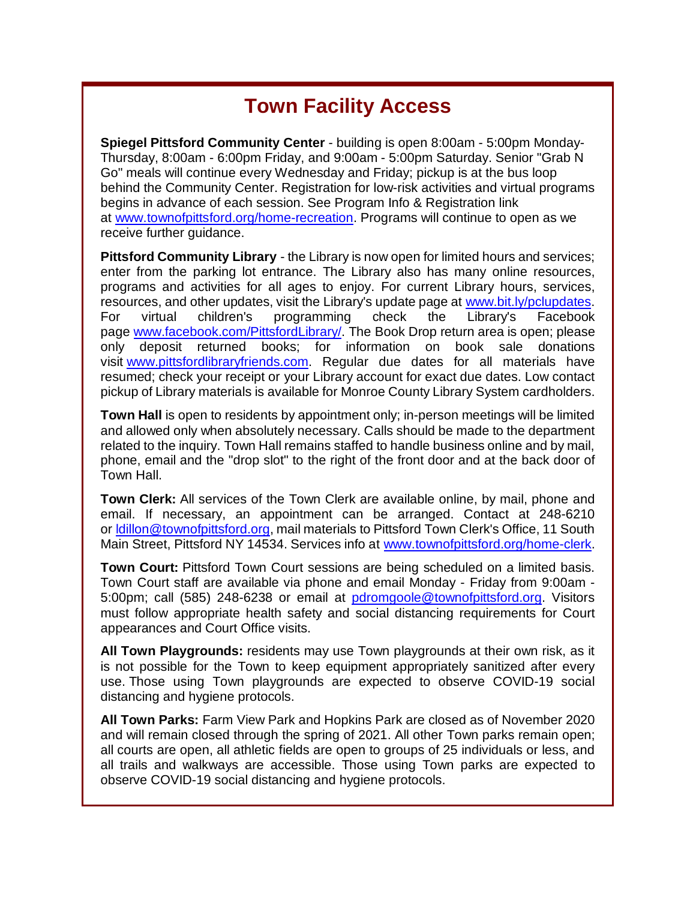# **Town Facility Access**

**Spiegel Pittsford Community Center** - building is open 8:00am - 5:00pm Monday-Thursday, 8:00am - 6:00pm Friday, and 9:00am - 5:00pm Saturday. Senior "Grab N Go" meals will continue every Wednesday and Friday; pickup is at the bus loop behind the Community Center. Registration for low-risk activities and virtual programs begins in advance of each session. See Program Info & Registration link at [www.townofpittsford.org/home-recreation.](http://r20.rs6.net/tn.jsp?f=001R_hn1XmW8ZIKLXMPD-xtvdoWox3pSPH8KU6E3Rns0zfb4RelMqyQFVFLeeVfy3pkYVgxNkgVZaT2RJwhoTbnzs90DwpimW7VdYzFPkvlIujCHaYvYl98lQPb5ZUSRLerwSukQKWpI1Gs7vHbRDtxwdyvUUnEXAd2Ut0GBUIpG9OWwBrCfNJwjQ==&c=L4wHU0Ban_AqkBWOtmBScAnoO4Y1psPCCeKro54FY18et9SlN5JTXQ==&ch=CIC58Hghf8_QHDDcWhNoJPaldM9AXmduPIRyYKYGmOUUJiFM4ldBgA==) Programs will continue to open as we receive further guidance.

**Pittsford Community Library** - the Library is now open for limited hours and services; enter from the parking lot entrance. The Library also has many online resources, programs and activities for all ages to enjoy. For current Library hours, services, resources, and other updates, visit the Library's update page at [www.bit.ly/pclupdates.](http://r20.rs6.net/tn.jsp?f=001R_hn1XmW8ZIKLXMPD-xtvdoWox3pSPH8KU6E3Rns0zfb4RelMqyQFecsAY_Im4hBo7HZcdtmDAhyh6ltttuSWnWXkiNgXj0HD1QH2oZZfAnY2Pbd3C799JZ0mC1YKbhAOyLQfA0kiNYIGDvYE_PfCw==&c=L4wHU0Ban_AqkBWOtmBScAnoO4Y1psPCCeKro54FY18et9SlN5JTXQ==&ch=CIC58Hghf8_QHDDcWhNoJPaldM9AXmduPIRyYKYGmOUUJiFM4ldBgA==) For virtual children's programming check the Library's Facebook page [www.facebook.com/PittsfordLibrary/.](http://r20.rs6.net/tn.jsp?f=001R_hn1XmW8ZIKLXMPD-xtvdoWox3pSPH8KU6E3Rns0zfb4RelMqyQFRdqwvFsoooIUmXPjkJDNNx0Cq9Vlqp--zBgQHaQgO_Po8JmV4C_AvxNl3NwTcdE840H8bEov0yMRbzFIVCkfjU3LtJyWuDTp4Ia7xoaxvthmI7k2k0wl5I=&c=L4wHU0Ban_AqkBWOtmBScAnoO4Y1psPCCeKro54FY18et9SlN5JTXQ==&ch=CIC58Hghf8_QHDDcWhNoJPaldM9AXmduPIRyYKYGmOUUJiFM4ldBgA==) The Book Drop return area is open; please only deposit returned books; for information on book sale donations visit [www.pittsfordlibraryfriends.com.](http://r20.rs6.net/tn.jsp?f=001R_hn1XmW8ZIKLXMPD-xtvdoWox3pSPH8KU6E3Rns0zfb4RelMqyQFaBF5SzGnQCmK5oEqtYtyPAadA_5KtVNxP6dDJIeq0aYkglBMWMpFd0fmf4SPKCHXz-bp19Ajg2FIMetLZ8Uix-dvuMaaDGmQsI4JNPmC90kqcyf5e5YzZk=&c=L4wHU0Ban_AqkBWOtmBScAnoO4Y1psPCCeKro54FY18et9SlN5JTXQ==&ch=CIC58Hghf8_QHDDcWhNoJPaldM9AXmduPIRyYKYGmOUUJiFM4ldBgA==) Regular due dates for all materials have resumed; check your receipt or your Library account for exact due dates. Low contact pickup of Library materials is available for Monroe County Library System cardholders.

**Town Hall** is open to residents by appointment only; in-person meetings will be limited and allowed only when absolutely necessary. Calls should be made to the department related to the inquiry. Town Hall remains staffed to handle business online and by mail, phone, email and the "drop slot" to the right of the front door and at the back door of Town Hall.

**Town Clerk:** All services of the Town Clerk are available online, by mail, phone and email. If necessary, an appointment can be arranged. Contact at 248-6210 or [ldillon@townofpittsford.org,](mailto:ldillon@townofpittsford.org) mail materials to Pittsford Town Clerk's Office, 11 South Main Street, Pittsford NY 14534. Services info at [www.townofpittsford.org/home-clerk.](http://r20.rs6.net/tn.jsp?f=001R_hn1XmW8ZIKLXMPD-xtvdoWox3pSPH8KU6E3Rns0zfb4RelMqyQFfcQPGh0DQIxB8uUIaDMGnfOuq-40x-ag9N1n8nrLk0VMeFYTAlZs54yLUrat0GZWhMZCOZWQb5WQX4BLnVIIsfMKNVg-aqFF0_kBWlp8t8sLo8IzBQHJQ0=&c=L4wHU0Ban_AqkBWOtmBScAnoO4Y1psPCCeKro54FY18et9SlN5JTXQ==&ch=CIC58Hghf8_QHDDcWhNoJPaldM9AXmduPIRyYKYGmOUUJiFM4ldBgA==)

**Town Court:** Pittsford Town Court sessions are being scheduled on a limited basis. Town Court staff are available via phone and email Monday - Friday from 9:00am - 5:00pm; call (585) 248-6238 or email at [pdromgoole@townofpittsford.org.](mailto:pdromgoole@townofpittsford.org) Visitors must follow appropriate health safety and social distancing requirements for Court appearances and Court Office visits.

**All Town Playgrounds:** residents may use Town playgrounds at their own risk, as it is not possible for the Town to keep equipment appropriately sanitized after every use. Those using Town playgrounds are expected to observe COVID-19 social distancing and hygiene protocols.

**All Town Parks:** Farm View Park and Hopkins Park are closed as of November 2020 and will remain closed through the spring of 2021. All other Town parks remain open; all courts are open, all athletic fields are open to groups of 25 individuals or less, and all trails and walkways are accessible. Those using Town parks are expected to observe COVID-19 social distancing and hygiene protocols.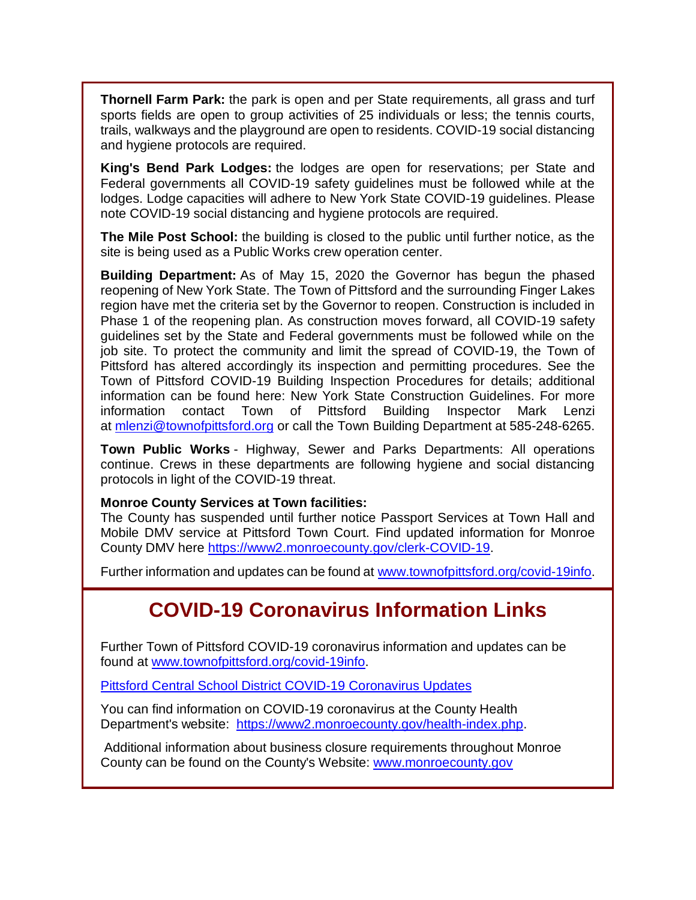**Thornell Farm Park:** the park is open and per State requirements, all grass and turf sports fields are open to group activities of 25 individuals or less; the tennis courts, trails, walkways and the playground are open to residents. COVID-19 social distancing and hygiene protocols are required.

**King's Bend Park Lodges:** the lodges are open for reservations; per State and Federal governments all COVID-19 safety guidelines must be followed while at the lodges. Lodge capacities will adhere to New York State COVID-19 guidelines. Please note COVID-19 social distancing and hygiene protocols are required.

**The Mile Post School:** the building is closed to the public until further notice, as the site is being used as a Public Works crew operation center.

**Building Department:** As of May 15, 2020 the Governor has begun the phased reopening of New York State. The Town of Pittsford and the surrounding Finger Lakes region have met the criteria set by the Governor to reopen. Construction is included in Phase 1 of the reopening plan. As construction moves forward, all COVID-19 safety guidelines set by the State and Federal governments must be followed while on the job site. To protect the community and limit the spread of COVID-19, the Town of Pittsford has altered accordingly its inspection and permitting procedures. See the Town of Pittsford COVID-19 Building Inspection Procedures for details; additional information can be found here: New York State Construction Guidelines. For more information contact Town of Pittsford Building Inspector Mark Lenzi at [mlenzi@townofpittsford.org](mailto:mlenzi@townofpittsford.org?subject=COVID-19%20Construciton%20Information) or call the Town Building Department at 585-248-6265.

**Town Public Works** - Highway, Sewer and Parks Departments: All operations continue. Crews in these departments are following hygiene and social distancing protocols in light of the COVID-19 threat.

#### **Monroe County Services at Town facilities:**

The County has suspended until further notice Passport Services at Town Hall and Mobile DMV service at Pittsford Town Court. Find updated information for Monroe County DMV here [https://www2.monroecounty.gov/clerk-COVID-19.](http://r20.rs6.net/tn.jsp?f=001R_hn1XmW8ZIKLXMPD-xtvdoWox3pSPH8KU6E3Rns0zfb4RelMqyQFXy_2b46mWi7Rc4KsoqMIfgFCgffKOyhju4_013P8wqCGXNVmJrXhOWuRJNDfd93WgKYBvS68rfogJP0ZHHwmJF50uDwfCBpApu2UTVEtT68vFPx9imu7WI=&c=L4wHU0Ban_AqkBWOtmBScAnoO4Y1psPCCeKro54FY18et9SlN5JTXQ==&ch=CIC58Hghf8_QHDDcWhNoJPaldM9AXmduPIRyYKYGmOUUJiFM4ldBgA==)

Further information and updates can be found at [www.townofpittsford.org/covid-19info.](http://r20.rs6.net/tn.jsp?f=001R_hn1XmW8ZIKLXMPD-xtvdoWox3pSPH8KU6E3Rns0zfb4RelMqyQFUU7mUQf4R__DEu4-I1AdphheozWVLlelE5PlpvQxWQvy-Vg8_eJvGotHBC53e9JehGgmcGu2ANMKrZ2G_JDwRqwM9ip6-ccvAPZEVdYIBE-95OH5klrMks=&c=L4wHU0Ban_AqkBWOtmBScAnoO4Y1psPCCeKro54FY18et9SlN5JTXQ==&ch=CIC58Hghf8_QHDDcWhNoJPaldM9AXmduPIRyYKYGmOUUJiFM4ldBgA==)

# **COVID-19 Coronavirus Information Links**

Further Town of Pittsford COVID-19 coronavirus information and updates can be found at [www.townofpittsford.org/covid-19info.](http://r20.rs6.net/tn.jsp?f=001R_hn1XmW8ZIKLXMPD-xtvdoWox3pSPH8KU6E3Rns0zfb4RelMqyQFUU7mUQf4R__DEu4-I1AdphheozWVLlelE5PlpvQxWQvy-Vg8_eJvGotHBC53e9JehGgmcGu2ANMKrZ2G_JDwRqwM9ip6-ccvAPZEVdYIBE-95OH5klrMks=&c=L4wHU0Ban_AqkBWOtmBScAnoO4Y1psPCCeKro54FY18et9SlN5JTXQ==&ch=CIC58Hghf8_QHDDcWhNoJPaldM9AXmduPIRyYKYGmOUUJiFM4ldBgA==)

[Pittsford Central School District COVID-19 Coronavirus Updates](http://r20.rs6.net/tn.jsp?f=001R_hn1XmW8ZIKLXMPD-xtvdoWox3pSPH8KU6E3Rns0zfb4RelMqyQFRdqwvFsoooIMlNoNtQs__4NNX_78d4y11p3DU3JR0Qf4RoqBf43-wXC97KzGwVxOEQ7cAoWi7oUPjwFgmSZ4pTLniP4IhDfFBJeEvfBijHYsju4K8rJXYLN2Dje0Ors4A==&c=L4wHU0Ban_AqkBWOtmBScAnoO4Y1psPCCeKro54FY18et9SlN5JTXQ==&ch=CIC58Hghf8_QHDDcWhNoJPaldM9AXmduPIRyYKYGmOUUJiFM4ldBgA==)

You can find information on COVID-19 coronavirus at the County Health Department's website: [https://www2.monroecounty.gov/health-index.php.](http://r20.rs6.net/tn.jsp?f=001R_hn1XmW8ZIKLXMPD-xtvdoWox3pSPH8KU6E3Rns0zfb4RelMqyQFQUPCCB6pCUoSKGfl4XqsnmVPcuEvVquE23BClrTBk0kpVeGyBnclIFG7WhehkvXAg08K_m5x1vxKVLJ5Iz6jH3ebRXoaWSiv_mBxgqcqRMD_v403Ub4WQ9qCp--biIY1w==&c=L4wHU0Ban_AqkBWOtmBScAnoO4Y1psPCCeKro54FY18et9SlN5JTXQ==&ch=CIC58Hghf8_QHDDcWhNoJPaldM9AXmduPIRyYKYGmOUUJiFM4ldBgA==)

Additional information about business closure requirements throughout Monroe County can be found on the County's Website: [www.monroecounty.gov](http://r20.rs6.net/tn.jsp?f=001R_hn1XmW8ZIKLXMPD-xtvdoWox3pSPH8KU6E3Rns0zfb4RelMqyQFVAuAU-CmJ3IXTnPKvFKqIQcbMKp1UOfxgtO5t4UAXUvd2yYTJb0Pxx4ExQtbLU4cCRNvx6oyYWJDR8cGCBLOhehWyJ5aRJEWA==&c=L4wHU0Ban_AqkBWOtmBScAnoO4Y1psPCCeKro54FY18et9SlN5JTXQ==&ch=CIC58Hghf8_QHDDcWhNoJPaldM9AXmduPIRyYKYGmOUUJiFM4ldBgA==)